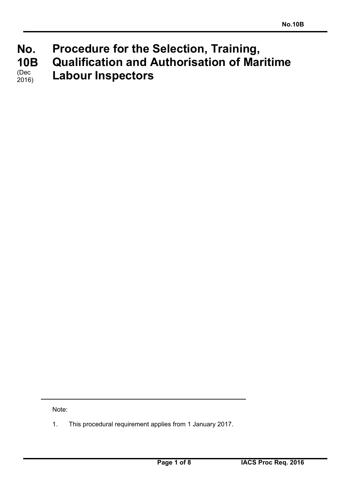#### **No. No. 10B 10B**  (Dec) **Procedure for the Selection, Training, Qualification and Authorisation of Maritime Labour Inspectors**  2016)

Note:

1. This procedural requirement applies from 1 January 2017.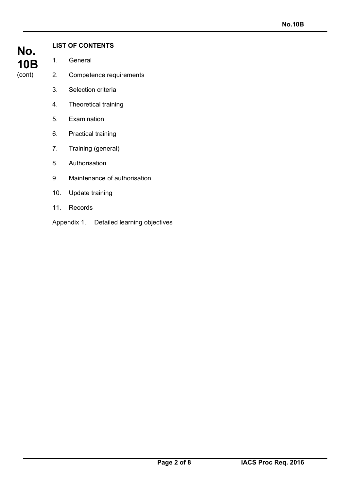

# **LIST OF CONTENTS**

- 1. General
- 2. Competence requirements
- 3. Selection criteria
- 4. Theoretical training
- 5. Examination
- 6. Practical training
- 7. Training (general)
- 8. Authorisation
- 9. Maintenance of authorisation
- 10. Update training
- 11. Records
- Appendix 1. Detailed learning objectives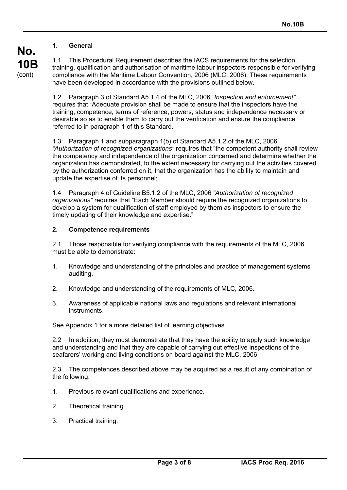#### **1. General**

**No.** 

**10B**  (cont)

1.1 This Procedural Requirement describes the IACS requirements for the selection, training, qualification and authorisation of maritime labour inspectors responsible for verifying compliance with the Maritime Labour Convention, 2006 (MLC, 2006). These requirements have been developed in accordance with the provisions outlined below.

1.2 Paragraph 3 of Standard A5.1.4 of the MLC, 2006 *"Inspection and enforcement"* requires that "Adequate provision shall be made to ensure that the inspectors have the training, competence, terms of reference, powers, status and independence necessary or desirable so as to enable them to carry out the verification and ensure the compliance referred to in paragraph 1 of this Standard."

1.3 Paragraph 1 and subparagraph 1(b) of Standard A5.1.2 of the MLC, 2006 *"Authorization of recognized organizations"* requires that "the competent authority shall review the competency and independence of the organization concerned and determine whether the organization has demonstrated, to the extent necessary for carrying out the activities covered by the authorization conferred on it, that the organization has the ability to maintain and update the expertise of its personnel;"

1.4 Paragraph 4 of Guideline B5.1.2 of the MLC, 2006 *"Authorization of recognized organizations"* requires that "Each Member should require the recognized organizations to develop a system for qualification of staff employed by them as inspectors to ensure the timely updating of their knowledge and expertise."

#### **2. Competence requirements**

2.1 Those responsible for verifying compliance with the requirements of the MLC, 2006 must be able to demonstrate:

- 1. Knowledge and understanding of the principles and practice of management systems auditing.
- 2. Knowledge and understanding of the requirements of MLC, 2006.
- 3. Awareness of applicable national laws and regulations and relevant international **instruments**

See Appendix 1 for a more detailed list of learning objectives.

2.2 In addition, they must demonstrate that they have the ability to apply such knowledge and understanding and that they are capable of carrying out effective inspections of the seafarers' working and living conditions on board against the MLC, 2006.

2.3 The competences described above may be acquired as a result of any combination of the following:

- 1. Previous relevant qualifications and experience.
- 2. Theoretical training.
- 3. Practical training.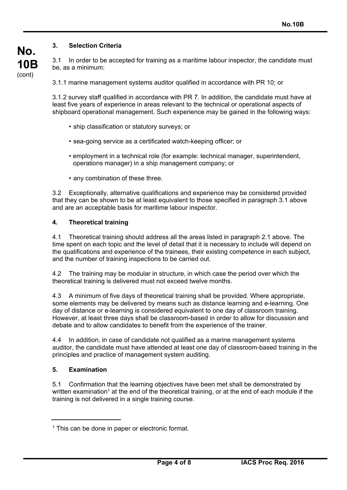### **3. Selection Criteria**

**No.** 

**10B**  (cont)

3.1 In order to be accepted for training as a maritime labour inspector, the candidate must be, as a minimum:

3.1.1 marine management systems auditor qualified in accordance with PR 10; or

3.1.2 survey staff qualified in accordance with PR 7. In addition, the candidate must have at least five years of experience in areas relevant to the technical or operational aspects of shipboard operational management. Such experience may be gained in the following ways:

- ship classification or statutory surveys; or
- sea-going service as a certificated watch-keeping officer; or
- employment in a technical role (for example: technical manager, superintendent, operations manager) in a ship management company; or
- any combination of these three.

3.2 Exceptionally, alternative qualifications and experience may be considered provided that they can be shown to be at least equivalent to those specified in paragraph 3.1 above and are an acceptable basis for maritime labour inspector.

#### **4. Theoretical training**

4.1 Theoretical training should address all the areas listed in paragraph 2.1 above. The time spent on each topic and the level of detail that it is necessary to include will depend on the qualifications and experience of the trainees, their existing competence in each subject, and the number of training inspections to be carried out.

4.2 The training may be modular in structure, in which case the period over which the theoretical training is delivered must not exceed twelve months.

4.3 A minimum of five days of theoretical training shall be provided. Where appropriate, some elements may be delivered by means such as distance learning and e-learning. One day of distance or e-learning is considered equivalent to one day of classroom training. However, at least three days shall be classroom-based in order to allow for discussion and debate and to allow candidates to benefit from the experience of the trainer.

4.4 In addition, in case of candidate not qualified as a marine management systems auditor, the candidate must have attended at least one day of classroom-based training in the principles and practice of management system auditing.

#### **5. Examination**

5.1 Confirmation that the learning objectives have been met shall be demonstrated by written examination<sup>1</sup> at the end of the theoretical training, or at the end of each module if the training is not delivered in a single training course.

 $<sup>1</sup>$  This can be done in paper or electronic format.</sup>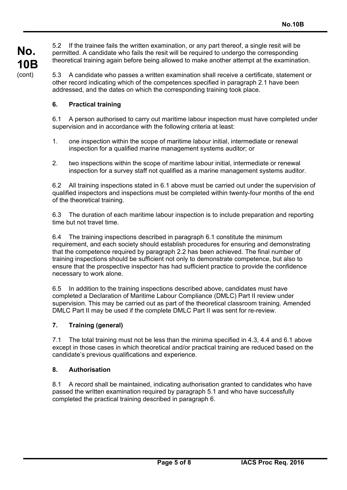**No. 10B**  (cont)

5.2 If the trainee fails the written examination, or any part thereof, a single resit will be permitted. A candidate who fails the resit will be required to undergo the corresponding theoretical training again before being allowed to make another attempt at the examination.

5.3 A candidate who passes a written examination shall receive a certificate, statement or other record indicating which of the competences specified in paragraph 2.1 have been addressed, and the dates on which the corresponding training took place.

### **6. Practical training**

6.1 A person authorised to carry out maritime labour inspection must have completed under supervision and in accordance with the following criteria at least:

- 1. one inspection within the scope of maritime labour initial, intermediate or renewal inspection for a qualified marine management systems auditor; or
- 2. two inspections within the scope of maritime labour initial, intermediate or renewal inspection for a survey staff not qualified as a marine management systems auditor.

6.2 All training inspections stated in 6.1 above must be carried out under the supervision of qualified inspectors and inspections must be completed within twenty-four months of the end of the theoretical training.

6.3 The duration of each maritime labour inspection is to include preparation and reporting time but not travel time.

6.4 The training inspections described in paragraph 6.1 constitute the minimum requirement, and each society should establish procedures for ensuring and demonstrating that the competence required by paragraph 2.2 has been achieved. The final number of training inspections should be sufficient not only to demonstrate competence, but also to ensure that the prospective inspector has had sufficient practice to provide the confidence necessary to work alone.

6.5 In addition to the training inspections described above, candidates must have completed a Declaration of Maritime Labour Compliance (DMLC) Part II review under supervision. This may be carried out as part of the theoretical classroom training. Amended DMLC Part II may be used if the complete DMLC Part II was sent for re-review.

## **7. Training (general)**

7.1 The total training must not be less than the minima specified in 4.3, 4.4 and 6.1 above except in those cases in which theoretical and/or practical training are reduced based on the candidate's previous qualifications and experience.

#### **8. Authorisation**

8.1 A record shall be maintained, indicating authorisation granted to candidates who have passed the written examination required by paragraph 5.1 and who have successfully completed the practical training described in paragraph 6.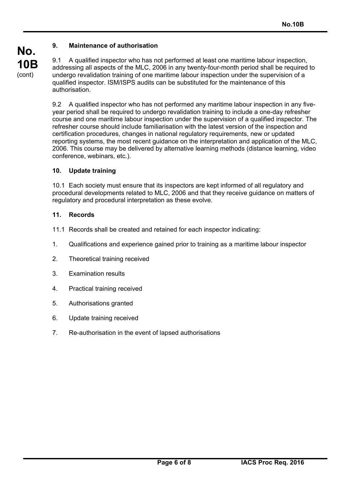#### **9. Maintenance of authorisation**

9.1 A qualified inspector who has not performed at least one maritime labour inspection, addressing all aspects of the MLC, 2006 in any twenty-four-month period shall be required to undergo revalidation training of one maritime labour inspection under the supervision of a qualified inspector. ISM/ISPS audits can be substituted for the maintenance of this authorisation.

9.2 A qualified inspector who has not performed any maritime labour inspection in any fiveyear period shall be required to undergo revalidation training to include a one-day refresher course and one maritime labour inspection under the supervision of a qualified inspector. The refresher course should include familiarisation with the latest version of the inspection and certification procedures, changes in national regulatory requirements, new or updated reporting systems, the most recent guidance on the interpretation and application of the MLC, 2006. This course may be delivered by alternative learning methods (distance learning, video conference, webinars, etc.).

#### **10. Update training**

10.1 Each society must ensure that its inspectors are kept informed of all regulatory and procedural developments related to MLC, 2006 and that they receive guidance on matters of regulatory and procedural interpretation as these evolve.

#### **11. Records**

- 11.1 Records shall be created and retained for each inspector indicating:
- 1. Qualifications and experience gained prior to training as a maritime labour inspector
- 2. Theoretical training received
- 3. Examination results
- 4. Practical training received
- 5. Authorisations granted
- 6. Update training received
- 7. Re-authorisation in the event of lapsed authorisations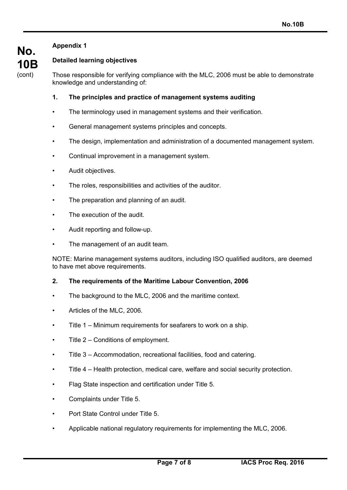# **Appendix 1**

**No.** 

**10B**  (cont)

# **Detailed learning objectives**

Those responsible for verifying compliance with the MLC, 2006 must be able to demonstrate knowledge and understanding of:

#### **1. The principles and practice of management systems auditing**

- The terminology used in management systems and their verification.
- General management systems principles and concepts.
- The design, implementation and administration of a documented management system.
- Continual improvement in a management system.
- Audit objectives.
- The roles, responsibilities and activities of the auditor.
- The preparation and planning of an audit.
- The execution of the audit.
- Audit reporting and follow-up.
- The management of an audit team.

NOTE: Marine management systems auditors, including ISO qualified auditors, are deemed to have met above requirements.

#### **2. The requirements of the Maritime Labour Convention, 2006**

- The background to the MLC, 2006 and the maritime context.
- Articles of the MLC, 2006.
- Title 1 Minimum requirements for seafarers to work on a ship.
- Title  $2$  Conditions of employment.
- Title 3 Accommodation, recreational facilities, food and catering.
- Title 4 Health protection, medical care, welfare and social security protection.
- Flag State inspection and certification under Title 5.
- Complaints under Title 5.
- Port State Control under Title 5.
- Applicable national regulatory requirements for implementing the MLC, 2006.